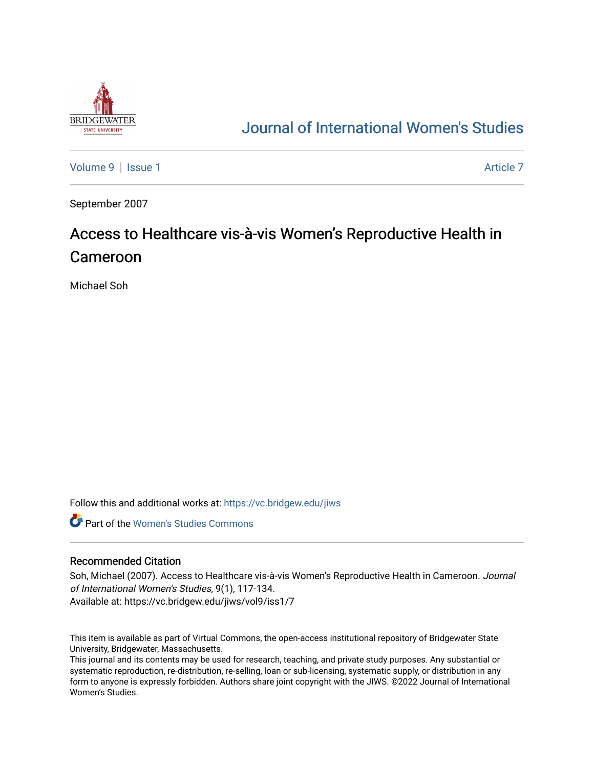

## [Journal of International Women's Studies](https://vc.bridgew.edu/jiws)

[Volume 9](https://vc.bridgew.edu/jiws/vol9) | [Issue 1](https://vc.bridgew.edu/jiws/vol9/iss1) Article 7

September 2007

# Access to Healthcare vis-à-vis Women's Reproductive Health in Cameroon

Michael Soh

Follow this and additional works at: [https://vc.bridgew.edu/jiws](https://vc.bridgew.edu/jiws?utm_source=vc.bridgew.edu%2Fjiws%2Fvol9%2Fiss1%2F7&utm_medium=PDF&utm_campaign=PDFCoverPages)

**C** Part of the Women's Studies Commons

#### Recommended Citation

Soh, Michael (2007). Access to Healthcare vis-à-vis Women's Reproductive Health in Cameroon. Journal of International Women's Studies, 9(1), 117-134. Available at: https://vc.bridgew.edu/jiws/vol9/iss1/7

This item is available as part of Virtual Commons, the open-access institutional repository of Bridgewater State University, Bridgewater, Massachusetts.

This journal and its contents may be used for research, teaching, and private study purposes. Any substantial or systematic reproduction, re-distribution, re-selling, loan or sub-licensing, systematic supply, or distribution in any form to anyone is expressly forbidden. Authors share joint copyright with the JIWS. ©2022 Journal of International Women's Studies.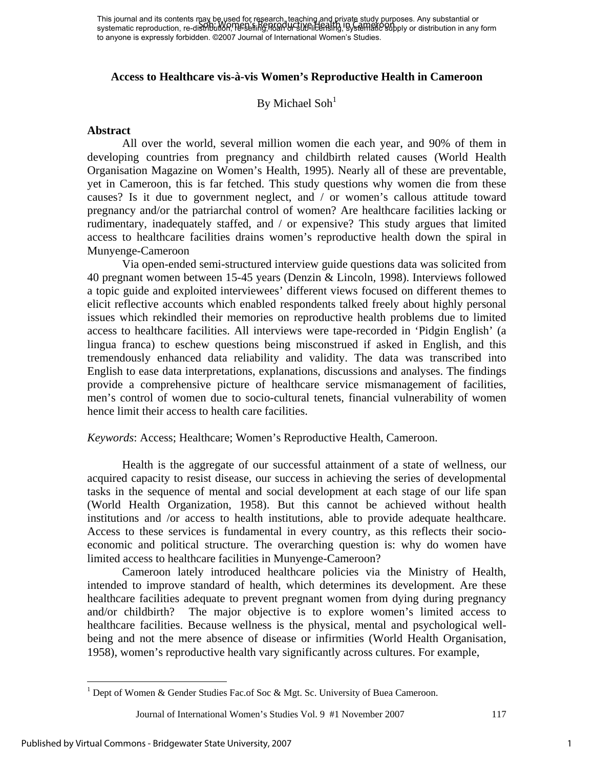#### **Access to Healthcare vis-à-vis Women's Reproductive Health in Cameroon**

### By Michael Soh<sup>1</sup>

#### **Abstract**

All over the world, several million women die each year, and 90% of them in developing countries from pregnancy and childbirth related causes (World Health Organisation Magazine on Women's Health, 1995). Nearly all of these are preventable, yet in Cameroon, this is far fetched. This study questions why women die from these causes? Is it due to government neglect, and / or women's callous attitude toward pregnancy and/or the patriarchal control of women? Are healthcare facilities lacking or rudimentary, inadequately staffed, and / or expensive? This study argues that limited access to healthcare facilities drains women's reproductive health down the spiral in Munyenge-Cameroon

Via open-ended semi-structured interview guide questions data was solicited from 40 pregnant women between 15-45 years (Denzin & Lincoln, 1998). Interviews followed a topic guide and exploited interviewees' different views focused on different themes to elicit reflective accounts which enabled respondents talked freely about highly personal issues which rekindled their memories on reproductive health problems due to limited access to healthcare facilities. All interviews were tape-recorded in 'Pidgin English' (a lingua franca) to eschew questions being misconstrued if asked in English, and this tremendously enhanced data reliability and validity. The data was transcribed into English to ease data interpretations, explanations, discussions and analyses. The findings provide a comprehensive picture of healthcare service mismanagement of facilities, men's control of women due to socio-cultural tenets, financial vulnerability of women hence limit their access to health care facilities.

#### *Keywords*: Access; Healthcare; Women's Reproductive Health, Cameroon.

Health is the aggregate of our successful attainment of a state of wellness, our acquired capacity to resist disease, our success in achieving the series of developmental tasks in the sequence of mental and social development at each stage of our life span (World Health Organization, 1958). But this cannot be achieved without health institutions and /or access to health institutions, able to provide adequate healthcare. Access to these services is fundamental in every country, as this reflects their socioeconomic and political structure. The overarching question is: why do women have limited access to healthcare facilities in Munyenge-Cameroon?

Cameroon lately introduced healthcare policies via the Ministry of Health, intended to improve standard of health, which determines its development. Are these healthcare facilities adequate to prevent pregnant women from dying during pregnancy and/or childbirth? The major objective is to explore women's limited access to healthcare facilities. Because wellness is the physical, mental and psychological wellbeing and not the mere absence of disease or infirmities (World Health Organisation, 1958), women's reproductive health vary significantly across cultures. For example,

 $\overline{a}$ 

<sup>&</sup>lt;sup>1</sup> Dept of Women & Gender Studies Fac.of Soc & Mgt. Sc. University of Buea Cameroon.

Journal of International Women's Studies Vol. 9 #1 November 2007 117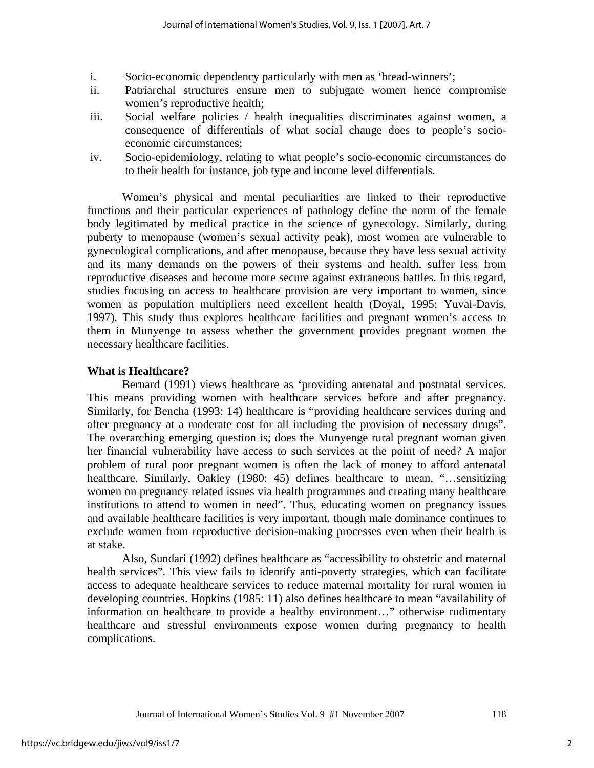- i. Socio-economic dependency particularly with men as 'bread-winners';
- ii. Patriarchal structures ensure men to subjugate women hence compromise women's reproductive health;
- iii. Social welfare policies / health inequalities discriminates against women, a consequence of differentials of what social change does to people's socioeconomic circumstances;
- iv. Socio-epidemiology, relating to what people's socio-economic circumstances do to their health for instance, job type and income level differentials.

 Women's physical and mental peculiarities are linked to their reproductive functions and their particular experiences of pathology define the norm of the female body legitimated by medical practice in the science of gynecology. Similarly, during puberty to menopause (women's sexual activity peak), most women are vulnerable to gynecological complications, and after menopause, because they have less sexual activity and its many demands on the powers of their systems and health, suffer less from reproductive diseases and become more secure against extraneous battles. In this regard, studies focusing on access to healthcare provision are very important to women, since women as population multipliers need excellent health (Doyal, 1995; Yuval-Davis, 1997). This study thus explores healthcare facilities and pregnant women's access to them in Munyenge to assess whether the government provides pregnant women the necessary healthcare facilities.

#### **What is Healthcare?**

Bernard (1991) views healthcare as 'providing antenatal and postnatal services. This means providing women with healthcare services before and after pregnancy. Similarly, for Bencha (1993: 14) healthcare is "providing healthcare services during and after pregnancy at a moderate cost for all including the provision of necessary drugs". The overarching emerging question is; does the Munyenge rural pregnant woman given her financial vulnerability have access to such services at the point of need? A major problem of rural poor pregnant women is often the lack of money to afford antenatal healthcare. Similarly, Oakley (1980: 45) defines healthcare to mean, "...sensitizing women on pregnancy related issues via health programmes and creating many healthcare institutions to attend to women in need". Thus, educating women on pregnancy issues and available healthcare facilities is very important, though male dominance continues to exclude women from reproductive decision-making processes even when their health is at stake.

Also, Sundari (1992) defines healthcare as "accessibility to obstetric and maternal health services". This view fails to identify anti-poverty strategies, which can facilitate access to adequate healthcare services to reduce maternal mortality for rural women in developing countries. Hopkins (1985: 11) also defines healthcare to mean "availability of information on healthcare to provide a healthy environment…" otherwise rudimentary healthcare and stressful environments expose women during pregnancy to health complications.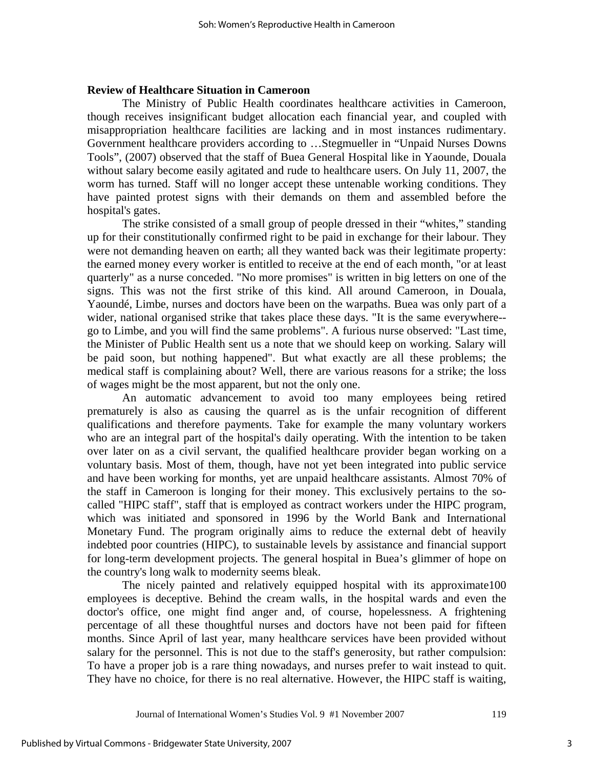#### **Review of Healthcare Situation in Cameroon**

The Ministry of Public Health coordinates healthcare activities in Cameroon, though receives insignificant budget allocation each financial year, and coupled with misappropriation healthcare facilities are lacking and in most instances rudimentary. Government healthcare providers according to …Stegmueller in "Unpaid Nurses Downs Tools", (2007) observed that the staff of Buea General Hospital like in Yaounde, Douala without salary become easily agitated and rude to healthcare users. On July 11, 2007, the worm has turned. Staff will no longer accept these untenable working conditions. They have painted protest signs with their demands on them and assembled before the hospital's gates.

The strike consisted of a small group of people dressed in their "whites," standing up for their constitutionally confirmed right to be paid in exchange for their labour. They were not demanding heaven on earth; all they wanted back was their legitimate property: the earned money every worker is entitled to receive at the end of each month, "or at least quarterly" as a nurse conceded. "No more promises" is written in big letters on one of the signs. This was not the first strike of this kind. All around Cameroon, in Douala, Yaoundé, Limbe, nurses and doctors have been on the warpaths. Buea was only part of a wider, national organised strike that takes place these days. "It is the same everywhere- go to Limbe, and you will find the same problems". A furious nurse observed: "Last time, the Minister of Public Health sent us a note that we should keep on working. Salary will be paid soon, but nothing happened". But what exactly are all these problems; the medical staff is complaining about? Well, there are various reasons for a strike; the loss of wages might be the most apparent, but not the only one.

An automatic advancement to avoid too many employees being retired prematurely is also as causing the quarrel as is the unfair recognition of different qualifications and therefore payments. Take for example the many voluntary workers who are an integral part of the hospital's daily operating. With the intention to be taken over later on as a civil servant, the qualified healthcare provider began working on a voluntary basis. Most of them, though, have not yet been integrated into public service and have been working for months, yet are unpaid healthcare assistants. Almost 70% of the staff in Cameroon is longing for their money. This exclusively pertains to the socalled "HIPC staff", staff that is employed as contract workers under the HIPC program, which was initiated and sponsored in 1996 by the World Bank and International Monetary Fund. The program originally aims to reduce the external debt of heavily indebted poor countries (HIPC), to sustainable levels by assistance and financial support for long-term development projects. The general hospital in Buea's glimmer of hope on the country's long walk to modernity seems bleak.

The nicely painted and relatively equipped hospital with its approximate100 employees is deceptive. Behind the cream walls, in the hospital wards and even the doctor's office, one might find anger and, of course, hopelessness. A frightening percentage of all these thoughtful nurses and doctors have not been paid for fifteen months. Since April of last year, many healthcare services have been provided without salary for the personnel. This is not due to the staff's generosity, but rather compulsion: To have a proper job is a rare thing nowadays, and nurses prefer to wait instead to quit. They have no choice, for there is no real alternative. However, the HIPC staff is waiting,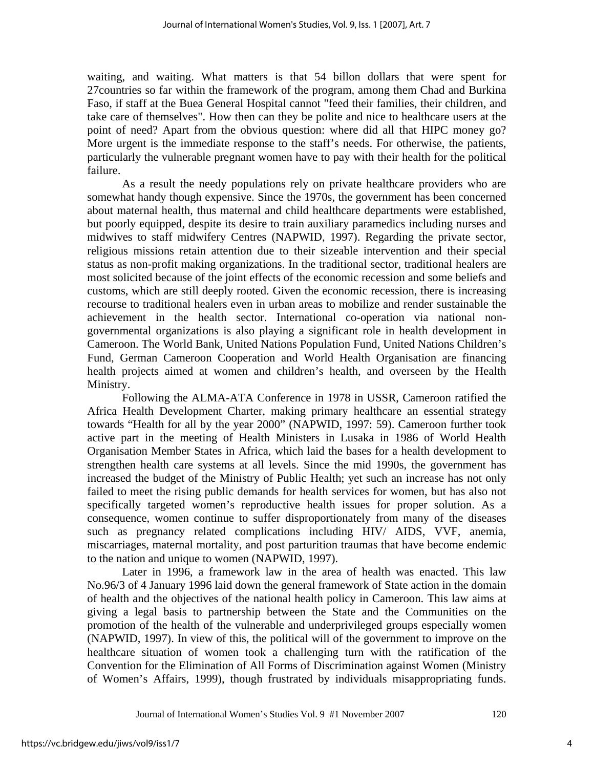waiting, and waiting. What matters is that 54 billon dollars that were spent for 27countries so far within the framework of the program, among them Chad and Burkina Faso, if staff at the Buea General Hospital cannot "feed their families, their children, and take care of themselves". How then can they be polite and nice to healthcare users at the point of need? Apart from the obvious question: where did all that HIPC money go? More urgent is the immediate response to the staff's needs. For otherwise, the patients, particularly the vulnerable pregnant women have to pay with their health for the political failure.

As a result the needy populations rely on private healthcare providers who are somewhat handy though expensive. Since the 1970s, the government has been concerned about maternal health, thus maternal and child healthcare departments were established, but poorly equipped, despite its desire to train auxiliary paramedics including nurses and midwives to staff midwifery Centres (NAPWID, 1997). Regarding the private sector, religious missions retain attention due to their sizeable intervention and their special status as non-profit making organizations. In the traditional sector, traditional healers are most solicited because of the joint effects of the economic recession and some beliefs and customs, which are still deeply rooted. Given the economic recession, there is increasing recourse to traditional healers even in urban areas to mobilize and render sustainable the achievement in the health sector. International co-operation via national nongovernmental organizations is also playing a significant role in health development in Cameroon. The World Bank, United Nations Population Fund, United Nations Children's Fund, German Cameroon Cooperation and World Health Organisation are financing health projects aimed at women and children's health, and overseen by the Health Ministry.

Following the ALMA-ATA Conference in 1978 in USSR, Cameroon ratified the Africa Health Development Charter, making primary healthcare an essential strategy towards "Health for all by the year 2000" (NAPWID, 1997: 59). Cameroon further took active part in the meeting of Health Ministers in Lusaka in 1986 of World Health Organisation Member States in Africa, which laid the bases for a health development to strengthen health care systems at all levels. Since the mid 1990s, the government has increased the budget of the Ministry of Public Health; yet such an increase has not only failed to meet the rising public demands for health services for women, but has also not specifically targeted women's reproductive health issues for proper solution. As a consequence, women continue to suffer disproportionately from many of the diseases such as pregnancy related complications including HIV/ AIDS, VVF, anemia, miscarriages, maternal mortality, and post parturition traumas that have become endemic to the nation and unique to women (NAPWID, 1997).

Later in 1996, a framework law in the area of health was enacted. This law No.96/3 of 4 January 1996 laid down the general framework of State action in the domain of health and the objectives of the national health policy in Cameroon. This law aims at giving a legal basis to partnership between the State and the Communities on the promotion of the health of the vulnerable and underprivileged groups especially women (NAPWID, 1997). In view of this, the political will of the government to improve on the healthcare situation of women took a challenging turn with the ratification of the Convention for the Elimination of All Forms of Discrimination against Women (Ministry of Women's Affairs, 1999), though frustrated by individuals misappropriating funds.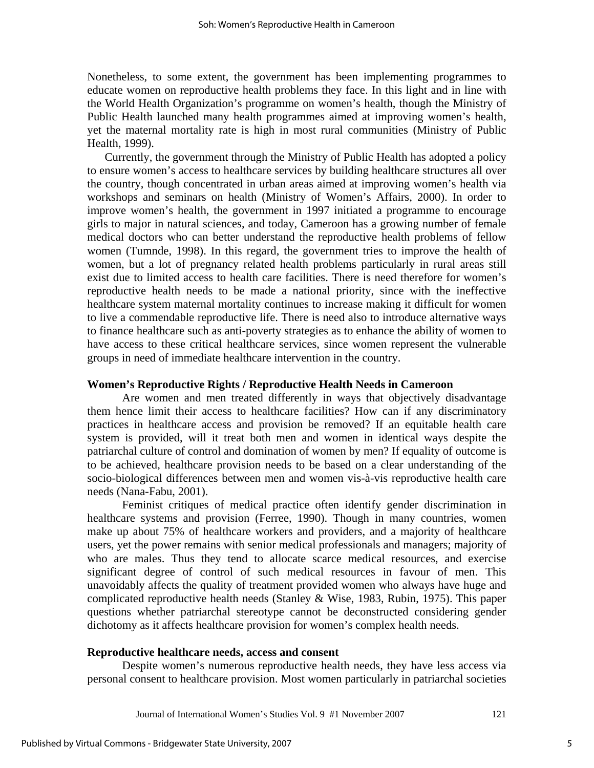Nonetheless, to some extent, the government has been implementing programmes to educate women on reproductive health problems they face. In this light and in line with the World Health Organization's programme on women's health, though the Ministry of Public Health launched many health programmes aimed at improving women's health, yet the maternal mortality rate is high in most rural communities (Ministry of Public Health, 1999).

Currently, the government through the Ministry of Public Health has adopted a policy to ensure women's access to healthcare services by building healthcare structures all over the country, though concentrated in urban areas aimed at improving women's health via workshops and seminars on health (Ministry of Women's Affairs, 2000). In order to improve women's health, the government in 1997 initiated a programme to encourage girls to major in natural sciences, and today, Cameroon has a growing number of female medical doctors who can better understand the reproductive health problems of fellow women (Tumnde, 1998). In this regard, the government tries to improve the health of women, but a lot of pregnancy related health problems particularly in rural areas still exist due to limited access to health care facilities. There is need therefore for women's reproductive health needs to be made a national priority, since with the ineffective healthcare system maternal mortality continues to increase making it difficult for women to live a commendable reproductive life. There is need also to introduce alternative ways to finance healthcare such as anti-poverty strategies as to enhance the ability of women to have access to these critical healthcare services, since women represent the vulnerable groups in need of immediate healthcare intervention in the country.

#### **Women's Reproductive Rights / Reproductive Health Needs in Cameroon**

Are women and men treated differently in ways that objectively disadvantage them hence limit their access to healthcare facilities? How can if any discriminatory practices in healthcare access and provision be removed? If an equitable health care system is provided, will it treat both men and women in identical ways despite the patriarchal culture of control and domination of women by men? If equality of outcome is to be achieved, healthcare provision needs to be based on a clear understanding of the socio-biological differences between men and women vis-à-vis reproductive health care needs (Nana-Fabu, 2001).

Feminist critiques of medical practice often identify gender discrimination in healthcare systems and provision (Ferree, 1990). Though in many countries, women make up about 75% of healthcare workers and providers, and a majority of healthcare users, yet the power remains with senior medical professionals and managers; majority of who are males. Thus they tend to allocate scarce medical resources, and exercise significant degree of control of such medical resources in favour of men. This unavoidably affects the quality of treatment provided women who always have huge and complicated reproductive health needs (Stanley & Wise, 1983, Rubin, 1975). This paper questions whether patriarchal stereotype cannot be deconstructed considering gender dichotomy as it affects healthcare provision for women's complex health needs.

#### **Reproductive healthcare needs, access and consent**

Despite women's numerous reproductive health needs, they have less access via personal consent to healthcare provision. Most women particularly in patriarchal societies

Journal of International Women's Studies Vol. 9 #1 November 2007 121

5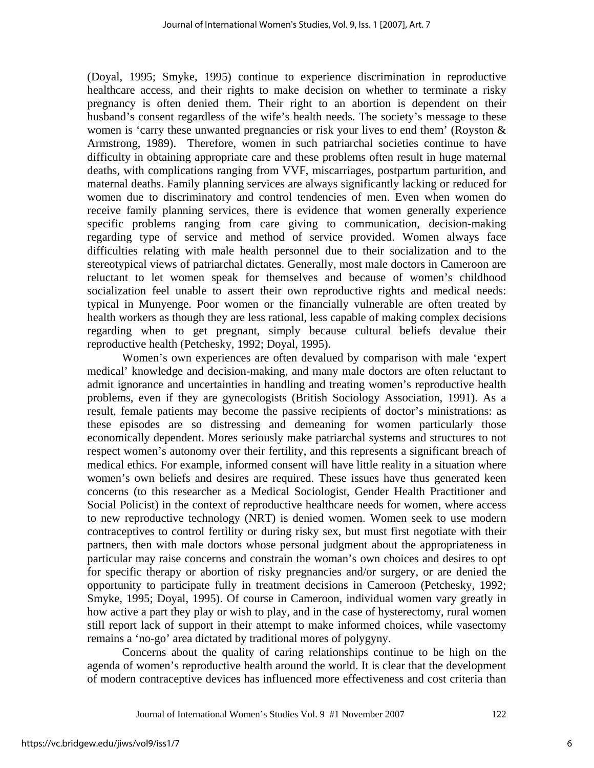(Doyal, 1995; Smyke, 1995) continue to experience discrimination in reproductive healthcare access, and their rights to make decision on whether to terminate a risky pregnancy is often denied them. Their right to an abortion is dependent on their husband's consent regardless of the wife's health needs. The society's message to these women is 'carry these unwanted pregnancies or risk your lives to end them' (Royston & Armstrong, 1989). Therefore, women in such patriarchal societies continue to have difficulty in obtaining appropriate care and these problems often result in huge maternal deaths, with complications ranging from VVF, miscarriages, postpartum parturition, and maternal deaths. Family planning services are always significantly lacking or reduced for women due to discriminatory and control tendencies of men. Even when women do receive family planning services, there is evidence that women generally experience specific problems ranging from care giving to communication, decision-making regarding type of service and method of service provided. Women always face difficulties relating with male health personnel due to their socialization and to the stereotypical views of patriarchal dictates. Generally, most male doctors in Cameroon are reluctant to let women speak for themselves and because of women's childhood socialization feel unable to assert their own reproductive rights and medical needs: typical in Munyenge. Poor women or the financially vulnerable are often treated by health workers as though they are less rational, less capable of making complex decisions regarding when to get pregnant, simply because cultural beliefs devalue their reproductive health (Petchesky, 1992; Doyal, 1995).

Women's own experiences are often devalued by comparison with male 'expert medical' knowledge and decision-making, and many male doctors are often reluctant to admit ignorance and uncertainties in handling and treating women's reproductive health problems, even if they are gynecologists (British Sociology Association, 1991). As a result, female patients may become the passive recipients of doctor's ministrations: as these episodes are so distressing and demeaning for women particularly those economically dependent. Mores seriously make patriarchal systems and structures to not respect women's autonomy over their fertility, and this represents a significant breach of medical ethics. For example, informed consent will have little reality in a situation where women's own beliefs and desires are required. These issues have thus generated keen concerns (to this researcher as a Medical Sociologist, Gender Health Practitioner and Social Policist) in the context of reproductive healthcare needs for women, where access to new reproductive technology (NRT) is denied women. Women seek to use modern contraceptives to control fertility or during risky sex, but must first negotiate with their partners, then with male doctors whose personal judgment about the appropriateness in particular may raise concerns and constrain the woman's own choices and desires to opt for specific therapy or abortion of risky pregnancies and/or surgery, or are denied the opportunity to participate fully in treatment decisions in Cameroon (Petchesky, 1992; Smyke, 1995; Doyal, 1995). Of course in Cameroon, individual women vary greatly in how active a part they play or wish to play, and in the case of hysterectomy, rural women still report lack of support in their attempt to make informed choices, while vasectomy remains a 'no-go' area dictated by traditional mores of polygyny.

Concerns about the quality of caring relationships continue to be high on the agenda of women's reproductive health around the world. It is clear that the development of modern contraceptive devices has influenced more effectiveness and cost criteria than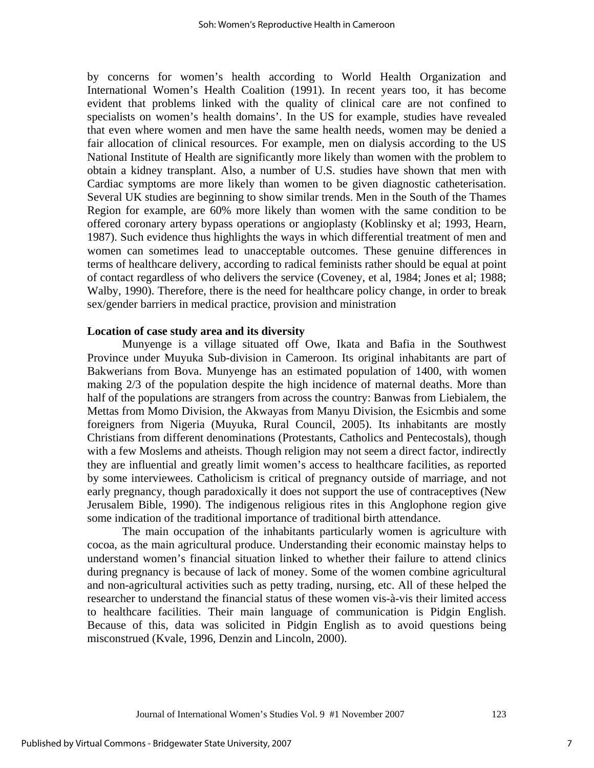by concerns for women's health according to World Health Organization and International Women's Health Coalition (1991). In recent years too, it has become evident that problems linked with the quality of clinical care are not confined to specialists on women's health domains'. In the US for example, studies have revealed that even where women and men have the same health needs, women may be denied a fair allocation of clinical resources. For example, men on dialysis according to the US National Institute of Health are significantly more likely than women with the problem to obtain a kidney transplant. Also, a number of U.S. studies have shown that men with Cardiac symptoms are more likely than women to be given diagnostic catheterisation. Several UK studies are beginning to show similar trends. Men in the South of the Thames Region for example, are 60% more likely than women with the same condition to be offered coronary artery bypass operations or angioplasty (Koblinsky et al; 1993, Hearn, 1987). Such evidence thus highlights the ways in which differential treatment of men and women can sometimes lead to unacceptable outcomes. These genuine differences in terms of healthcare delivery, according to radical feminists rather should be equal at point of contact regardless of who delivers the service (Coveney, et al, 1984; Jones et al; 1988; Walby, 1990). Therefore, there is the need for healthcare policy change, in order to break sex/gender barriers in medical practice, provision and ministration

#### **Location of case study area and its diversity**

Munyenge is a village situated off Owe, Ikata and Bafia in the Southwest Province under Muyuka Sub-division in Cameroon. Its original inhabitants are part of Bakwerians from Bova. Munyenge has an estimated population of 1400, with women making 2/3 of the population despite the high incidence of maternal deaths. More than half of the populations are strangers from across the country: Banwas from Liebialem, the Mettas from Momo Division, the Akwayas from Manyu Division, the Esicmbis and some foreigners from Nigeria (Muyuka, Rural Council, 2005). Its inhabitants are mostly Christians from different denominations (Protestants, Catholics and Pentecostals), though with a few Moslems and atheists. Though religion may not seem a direct factor, indirectly they are influential and greatly limit women's access to healthcare facilities, as reported by some interviewees. Catholicism is critical of pregnancy outside of marriage, and not early pregnancy, though paradoxically it does not support the use of contraceptives (New Jerusalem Bible, 1990). The indigenous religious rites in this Anglophone region give some indication of the traditional importance of traditional birth attendance.

The main occupation of the inhabitants particularly women is agriculture with cocoa, as the main agricultural produce. Understanding their economic mainstay helps to understand women's financial situation linked to whether their failure to attend clinics during pregnancy is because of lack of money. Some of the women combine agricultural and non-agricultural activities such as petty trading, nursing, etc. All of these helped the researcher to understand the financial status of these women vis-à-vis their limited access to healthcare facilities. Their main language of communication is Pidgin English. Because of this, data was solicited in Pidgin English as to avoid questions being misconstrued (Kvale, 1996, Denzin and Lincoln, 2000).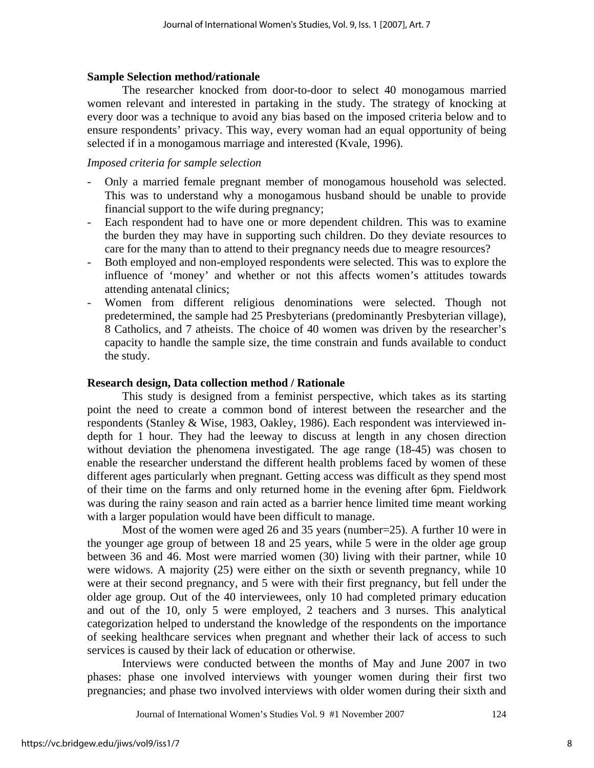#### **Sample Selection method/rationale**

The researcher knocked from door-to-door to select 40 monogamous married women relevant and interested in partaking in the study. The strategy of knocking at every door was a technique to avoid any bias based on the imposed criteria below and to ensure respondents' privacy. This way, every woman had an equal opportunity of being selected if in a monogamous marriage and interested (Kvale, 1996).

#### *Imposed criteria for sample selection*

- Only a married female pregnant member of monogamous household was selected. This was to understand why a monogamous husband should be unable to provide financial support to the wife during pregnancy;
- Each respondent had to have one or more dependent children. This was to examine the burden they may have in supporting such children. Do they deviate resources to care for the many than to attend to their pregnancy needs due to meagre resources?
- Both employed and non-employed respondents were selected. This was to explore the influence of 'money' and whether or not this affects women's attitudes towards attending antenatal clinics;
- Women from different religious denominations were selected. Though not predetermined, the sample had 25 Presbyterians (predominantly Presbyterian village), 8 Catholics, and 7 atheists. The choice of 40 women was driven by the researcher's capacity to handle the sample size, the time constrain and funds available to conduct the study.

#### **Research design, Data collection method / Rationale**

This study is designed from a feminist perspective, which takes as its starting point the need to create a common bond of interest between the researcher and the respondents (Stanley & Wise, 1983, Oakley, 1986). Each respondent was interviewed indepth for 1 hour. They had the leeway to discuss at length in any chosen direction without deviation the phenomena investigated. The age range (18-45) was chosen to enable the researcher understand the different health problems faced by women of these different ages particularly when pregnant. Getting access was difficult as they spend most of their time on the farms and only returned home in the evening after 6pm. Fieldwork was during the rainy season and rain acted as a barrier hence limited time meant working with a larger population would have been difficult to manage.

Most of the women were aged 26 and 35 years (number=25). A further 10 were in the younger age group of between 18 and 25 years, while 5 were in the older age group between 36 and 46. Most were married women (30) living with their partner, while 10 were widows. A majority (25) were either on the sixth or seventh pregnancy, while 10 were at their second pregnancy, and 5 were with their first pregnancy, but fell under the older age group. Out of the 40 interviewees, only 10 had completed primary education and out of the 10, only 5 were employed, 2 teachers and 3 nurses. This analytical categorization helped to understand the knowledge of the respondents on the importance of seeking healthcare services when pregnant and whether their lack of access to such services is caused by their lack of education or otherwise.

Interviews were conducted between the months of May and June 2007 in two phases: phase one involved interviews with younger women during their first two pregnancies; and phase two involved interviews with older women during their sixth and

Journal of International Women's Studies Vol. 9 #1 November 2007 124

8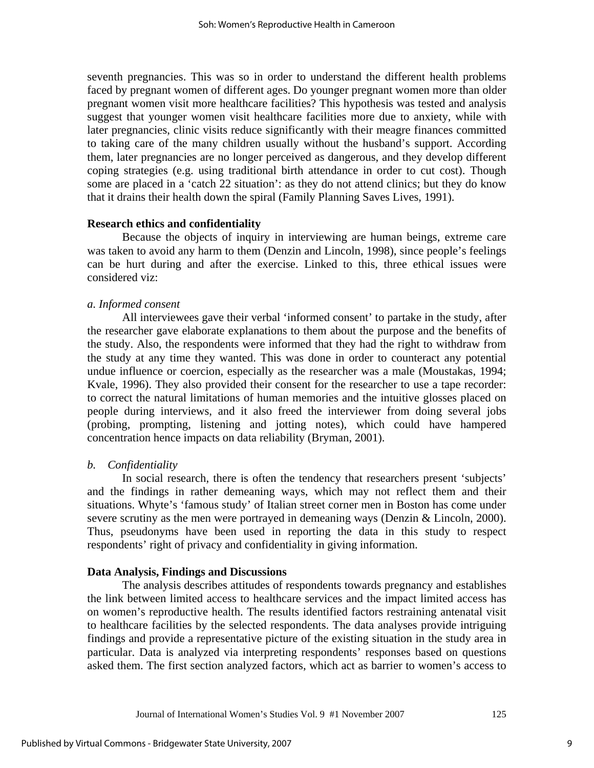seventh pregnancies. This was so in order to understand the different health problems faced by pregnant women of different ages. Do younger pregnant women more than older pregnant women visit more healthcare facilities? This hypothesis was tested and analysis suggest that younger women visit healthcare facilities more due to anxiety, while with later pregnancies, clinic visits reduce significantly with their meagre finances committed to taking care of the many children usually without the husband's support. According them, later pregnancies are no longer perceived as dangerous, and they develop different coping strategies (e.g. using traditional birth attendance in order to cut cost). Though some are placed in a 'catch 22 situation': as they do not attend clinics; but they do know that it drains their health down the spiral (Family Planning Saves Lives, 1991).

#### **Research ethics and confidentiality**

Because the objects of inquiry in interviewing are human beings, extreme care was taken to avoid any harm to them (Denzin and Lincoln, 1998), since people's feelings can be hurt during and after the exercise. Linked to this, three ethical issues were considered viz:

#### *a. Informed consent*

All interviewees gave their verbal 'informed consent' to partake in the study, after the researcher gave elaborate explanations to them about the purpose and the benefits of the study. Also, the respondents were informed that they had the right to withdraw from the study at any time they wanted. This was done in order to counteract any potential undue influence or coercion, especially as the researcher was a male (Moustakas, 1994; Kvale, 1996). They also provided their consent for the researcher to use a tape recorder: to correct the natural limitations of human memories and the intuitive glosses placed on people during interviews, and it also freed the interviewer from doing several jobs (probing, prompting, listening and jotting notes), which could have hampered concentration hence impacts on data reliability (Bryman, 2001).

#### *b. Confidentiality*

In social research, there is often the tendency that researchers present 'subjects' and the findings in rather demeaning ways, which may not reflect them and their situations. Whyte's 'famous study' of Italian street corner men in Boston has come under severe scrutiny as the men were portrayed in demeaning ways (Denzin & Lincoln, 2000). Thus, pseudonyms have been used in reporting the data in this study to respect respondents' right of privacy and confidentiality in giving information.

#### **Data Analysis, Findings and Discussions**

The analysis describes attitudes of respondents towards pregnancy and establishes the link between limited access to healthcare services and the impact limited access has on women's reproductive health. The results identified factors restraining antenatal visit to healthcare facilities by the selected respondents. The data analyses provide intriguing findings and provide a representative picture of the existing situation in the study area in particular. Data is analyzed via interpreting respondents' responses based on questions asked them. The first section analyzed factors, which act as barrier to women's access to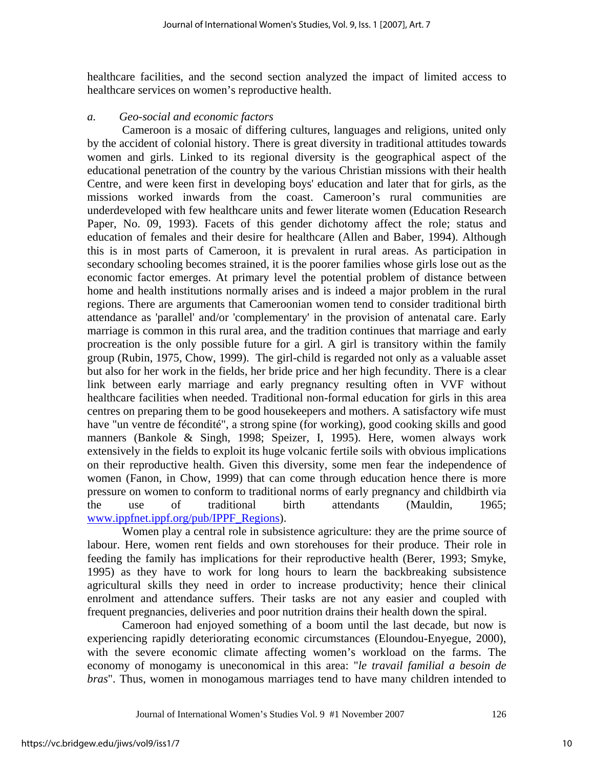healthcare facilities, and the second section analyzed the impact of limited access to healthcare services on women's reproductive health.

#### *a. Geo-social and economic factors*

Cameroon is a mosaic of differing cultures, languages and religions, united only by the accident of colonial history. There is great diversity in traditional attitudes towards women and girls. Linked to its regional diversity is the geographical aspect of the educational penetration of the country by the various Christian missions with their health Centre, and were keen first in developing boys' education and later that for girls, as the missions worked inwards from the coast. Cameroon's rural communities are underdeveloped with few healthcare units and fewer literate women (Education Research Paper, No. 09, 1993). Facets of this gender dichotomy affect the role; status and education of females and their desire for healthcare (Allen and Baber, 1994). Although this is in most parts of Cameroon, it is prevalent in rural areas. As participation in secondary schooling becomes strained, it is the poorer families whose girls lose out as the economic factor emerges. At primary level the potential problem of distance between home and health institutions normally arises and is indeed a major problem in the rural regions. There are arguments that Cameroonian women tend to consider traditional birth attendance as 'parallel' and/or 'complementary' in the provision of antenatal care. Early marriage is common in this rural area, and the tradition continues that marriage and early procreation is the only possible future for a girl. A girl is transitory within the family group (Rubin, 1975, Chow, 1999). The girl-child is regarded not only as a valuable asset but also for her work in the fields, her bride price and her high fecundity. There is a clear link between early marriage and early pregnancy resulting often in VVF without healthcare facilities when needed. Traditional non-formal education for girls in this area centres on preparing them to be good housekeepers and mothers. A satisfactory wife must have "un ventre de fécondité", a strong spine (for working), good cooking skills and good manners (Bankole & Singh, 1998; Speizer, I, 1995). Here, women always work extensively in the fields to exploit its huge volcanic fertile soils with obvious implications on their reproductive health. Given this diversity, some men fear the independence of women (Fanon, in Chow, 1999) that can come through education hence there is more pressure on women to conform to traditional norms of early pregnancy and childbirth via the use of traditional birth attendants (Mauldin, 1965; www.ippfnet.ippf.org/pub/IPPF\_Regions).

Women play a central role in subsistence agriculture: they are the prime source of labour. Here, women rent fields and own storehouses for their produce. Their role in feeding the family has implications for their reproductive health (Berer, 1993; Smyke, 1995) as they have to work for long hours to learn the backbreaking subsistence agricultural skills they need in order to increase productivity; hence their clinical enrolment and attendance suffers. Their tasks are not any easier and coupled with frequent pregnancies, deliveries and poor nutrition drains their health down the spiral.

Cameroon had enjoyed something of a boom until the last decade, but now is experiencing rapidly deteriorating economic circumstances (Eloundou-Enyegue, 2000), with the severe economic climate affecting women's workload on the farms. The economy of monogamy is uneconomical in this area: "*le travail familial a besoin de bras*". Thus, women in monogamous marriages tend to have many children intended to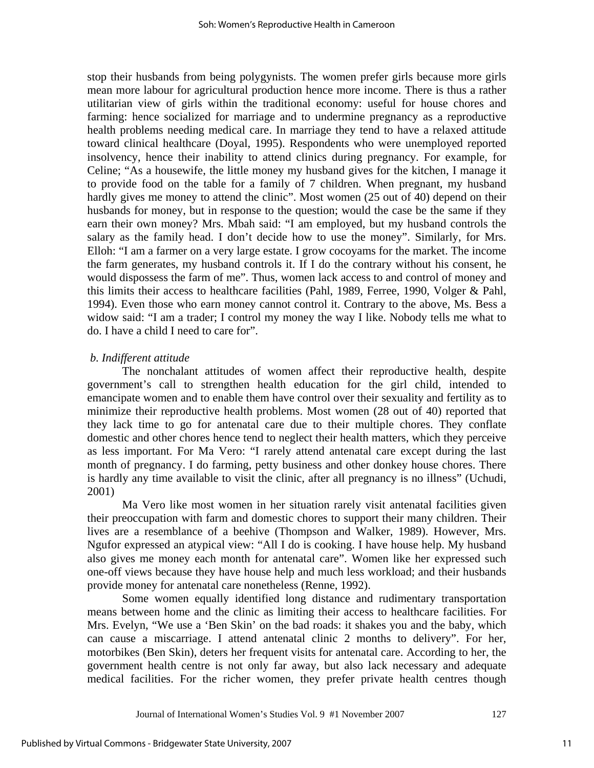stop their husbands from being polygynists. The women prefer girls because more girls mean more labour for agricultural production hence more income. There is thus a rather utilitarian view of girls within the traditional economy: useful for house chores and farming: hence socialized for marriage and to undermine pregnancy as a reproductive health problems needing medical care. In marriage they tend to have a relaxed attitude toward clinical healthcare (Doyal, 1995). Respondents who were unemployed reported insolvency, hence their inability to attend clinics during pregnancy. For example, for Celine; "As a housewife, the little money my husband gives for the kitchen, I manage it to provide food on the table for a family of 7 children. When pregnant, my husband hardly gives me money to attend the clinic". Most women (25 out of 40) depend on their husbands for money, but in response to the question; would the case be the same if they earn their own money? Mrs. Mbah said: "I am employed, but my husband controls the salary as the family head. I don't decide how to use the money". Similarly, for Mrs. Elloh: "I am a farmer on a very large estate. I grow cocoyams for the market. The income the farm generates, my husband controls it. If I do the contrary without his consent, he would dispossess the farm of me". Thus, women lack access to and control of money and this limits their access to healthcare facilities (Pahl, 1989, Ferree, 1990, Volger & Pahl, 1994). Even those who earn money cannot control it. Contrary to the above, Ms. Bess a widow said: "I am a trader; I control my money the way I like. Nobody tells me what to do. I have a child I need to care for".

#### *b. Indifferent attitude*

The nonchalant attitudes of women affect their reproductive health, despite government's call to strengthen health education for the girl child, intended to emancipate women and to enable them have control over their sexuality and fertility as to minimize their reproductive health problems. Most women (28 out of 40) reported that they lack time to go for antenatal care due to their multiple chores. They conflate domestic and other chores hence tend to neglect their health matters, which they perceive as less important. For Ma Vero: "I rarely attend antenatal care except during the last month of pregnancy. I do farming, petty business and other donkey house chores. There is hardly any time available to visit the clinic, after all pregnancy is no illness" (Uchudi, 2001)

Ma Vero like most women in her situation rarely visit antenatal facilities given their preoccupation with farm and domestic chores to support their many children. Their lives are a resemblance of a beehive (Thompson and Walker, 1989). However, Mrs. Ngufor expressed an atypical view: "All I do is cooking. I have house help. My husband also gives me money each month for antenatal care". Women like her expressed such one-off views because they have house help and much less workload; and their husbands provide money for antenatal care nonetheless (Renne, 1992).

Some women equally identified long distance and rudimentary transportation means between home and the clinic as limiting their access to healthcare facilities. For Mrs. Evelyn, "We use a 'Ben Skin' on the bad roads: it shakes you and the baby, which can cause a miscarriage. I attend antenatal clinic 2 months to delivery". For her, motorbikes (Ben Skin), deters her frequent visits for antenatal care. According to her, the government health centre is not only far away, but also lack necessary and adequate medical facilities. For the richer women, they prefer private health centres though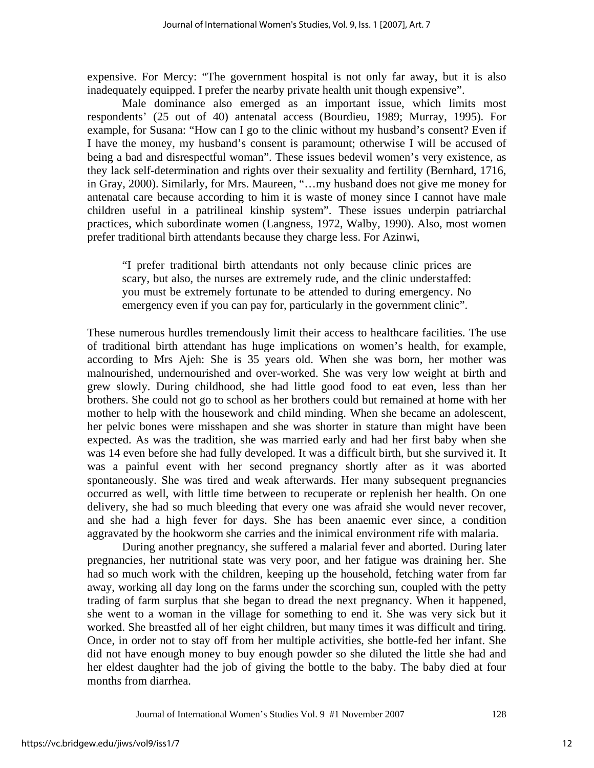expensive. For Mercy: "The government hospital is not only far away, but it is also inadequately equipped. I prefer the nearby private health unit though expensive".

Male dominance also emerged as an important issue, which limits most respondents' (25 out of 40) antenatal access (Bourdieu, 1989; Murray, 1995). For example, for Susana: "How can I go to the clinic without my husband's consent? Even if I have the money, my husband's consent is paramount; otherwise I will be accused of being a bad and disrespectful woman". These issues bedevil women's very existence, as they lack self-determination and rights over their sexuality and fertility (Bernhard, 1716, in Gray, 2000). Similarly, for Mrs. Maureen, "…my husband does not give me money for antenatal care because according to him it is waste of money since I cannot have male children useful in a patrilineal kinship system". These issues underpin patriarchal practices, which subordinate women (Langness, 1972, Walby, 1990). Also, most women prefer traditional birth attendants because they charge less. For Azinwi,

"I prefer traditional birth attendants not only because clinic prices are scary, but also, the nurses are extremely rude, and the clinic understaffed: you must be extremely fortunate to be attended to during emergency. No emergency even if you can pay for, particularly in the government clinic".

These numerous hurdles tremendously limit their access to healthcare facilities. The use of traditional birth attendant has huge implications on women's health, for example, according to Mrs Ajeh: She is 35 years old. When she was born, her mother was malnourished, undernourished and over-worked. She was very low weight at birth and grew slowly. During childhood, she had little good food to eat even, less than her brothers. She could not go to school as her brothers could but remained at home with her mother to help with the housework and child minding. When she became an adolescent, her pelvic bones were misshapen and she was shorter in stature than might have been expected. As was the tradition, she was married early and had her first baby when she was 14 even before she had fully developed. It was a difficult birth, but she survived it. It was a painful event with her second pregnancy shortly after as it was aborted spontaneously. She was tired and weak afterwards. Her many subsequent pregnancies occurred as well, with little time between to recuperate or replenish her health. On one delivery, she had so much bleeding that every one was afraid she would never recover, and she had a high fever for days. She has been anaemic ever since, a condition aggravated by the hookworm she carries and the inimical environment rife with malaria.

During another pregnancy, she suffered a malarial fever and aborted. During later pregnancies, her nutritional state was very poor, and her fatigue was draining her. She had so much work with the children, keeping up the household, fetching water from far away, working all day long on the farms under the scorching sun, coupled with the petty trading of farm surplus that she began to dread the next pregnancy. When it happened, she went to a woman in the village for something to end it. She was very sick but it worked. She breastfed all of her eight children, but many times it was difficult and tiring. Once, in order not to stay off from her multiple activities, she bottle-fed her infant. She did not have enough money to buy enough powder so she diluted the little she had and her eldest daughter had the job of giving the bottle to the baby. The baby died at four months from diarrhea.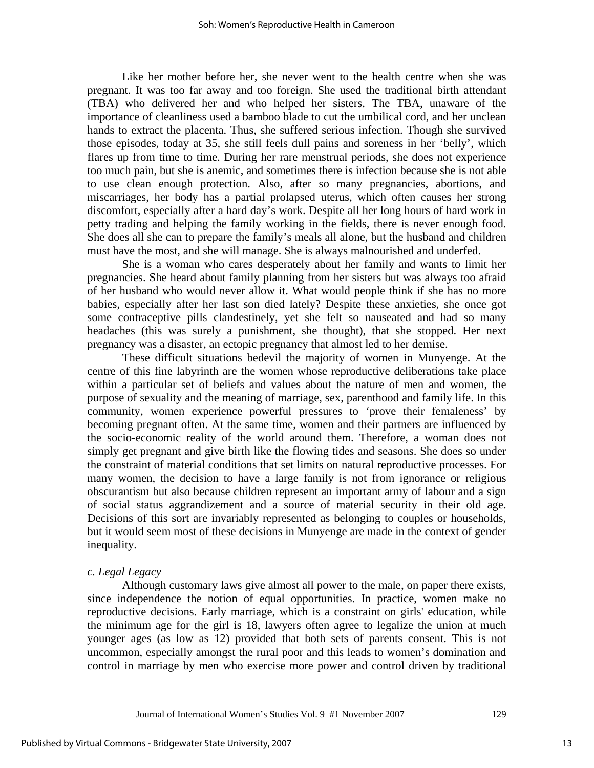Like her mother before her, she never went to the health centre when she was pregnant. It was too far away and too foreign. She used the traditional birth attendant (TBA) who delivered her and who helped her sisters. The TBA, unaware of the importance of cleanliness used a bamboo blade to cut the umbilical cord, and her unclean hands to extract the placenta. Thus, she suffered serious infection. Though she survived those episodes, today at 35, she still feels dull pains and soreness in her 'belly', which flares up from time to time. During her rare menstrual periods, she does not experience too much pain, but she is anemic, and sometimes there is infection because she is not able to use clean enough protection. Also, after so many pregnancies, abortions, and miscarriages, her body has a partial prolapsed uterus, which often causes her strong discomfort, especially after a hard day's work. Despite all her long hours of hard work in petty trading and helping the family working in the fields, there is never enough food. She does all she can to prepare the family's meals all alone, but the husband and children must have the most, and she will manage. She is always malnourished and underfed.

She is a woman who cares desperately about her family and wants to limit her pregnancies. She heard about family planning from her sisters but was always too afraid of her husband who would never allow it. What would people think if she has no more babies, especially after her last son died lately? Despite these anxieties, she once got some contraceptive pills clandestinely, yet she felt so nauseated and had so many headaches (this was surely a punishment, she thought), that she stopped. Her next pregnancy was a disaster, an ectopic pregnancy that almost led to her demise.

These difficult situations bedevil the majority of women in Munyenge. At the centre of this fine labyrinth are the women whose reproductive deliberations take place within a particular set of beliefs and values about the nature of men and women, the purpose of sexuality and the meaning of marriage, sex, parenthood and family life. In this community, women experience powerful pressures to 'prove their femaleness' by becoming pregnant often. At the same time, women and their partners are influenced by the socio-economic reality of the world around them. Therefore, a woman does not simply get pregnant and give birth like the flowing tides and seasons. She does so under the constraint of material conditions that set limits on natural reproductive processes. For many women, the decision to have a large family is not from ignorance or religious obscurantism but also because children represent an important army of labour and a sign of social status aggrandizement and a source of material security in their old age. Decisions of this sort are invariably represented as belonging to couples or households, but it would seem most of these decisions in Munyenge are made in the context of gender inequality.

#### *c. Legal Legacy*

Although customary laws give almost all power to the male, on paper there exists, since independence the notion of equal opportunities. In practice, women make no reproductive decisions. Early marriage, which is a constraint on girls' education, while the minimum age for the girl is 18, lawyers often agree to legalize the union at much younger ages (as low as 12) provided that both sets of parents consent. This is not uncommon, especially amongst the rural poor and this leads to women's domination and control in marriage by men who exercise more power and control driven by traditional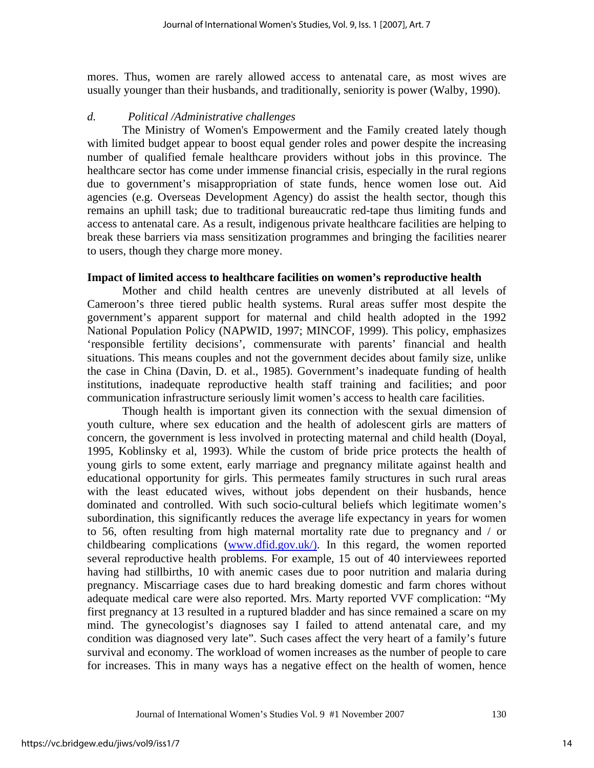mores. Thus, women are rarely allowed access to antenatal care, as most wives are usually younger than their husbands, and traditionally, seniority is power (Walby, 1990).

#### *d. Political /Administrative challenges*

The Ministry of Women's Empowerment and the Family created lately though with limited budget appear to boost equal gender roles and power despite the increasing number of qualified female healthcare providers without jobs in this province. The healthcare sector has come under immense financial crisis, especially in the rural regions due to government's misappropriation of state funds, hence women lose out. Aid agencies (e.g. Overseas Development Agency) do assist the health sector, though this remains an uphill task; due to traditional bureaucratic red-tape thus limiting funds and access to antenatal care. As a result, indigenous private healthcare facilities are helping to break these barriers via mass sensitization programmes and bringing the facilities nearer to users, though they charge more money.

#### **Impact of limited access to healthcare facilities on women's reproductive health**

Mother and child health centres are unevenly distributed at all levels of Cameroon's three tiered public health systems. Rural areas suffer most despite the government's apparent support for maternal and child health adopted in the 1992 National Population Policy (NAPWID, 1997; MINCOF, 1999). This policy, emphasizes 'responsible fertility decisions', commensurate with parents' financial and health situations. This means couples and not the government decides about family size, unlike the case in China (Davin, D. et al., 1985). Government's inadequate funding of health institutions, inadequate reproductive health staff training and facilities; and poor communication infrastructure seriously limit women's access to health care facilities.

Though health is important given its connection with the sexual dimension of youth culture, where sex education and the health of adolescent girls are matters of concern, the government is less involved in protecting maternal and child health (Doyal, 1995, Koblinsky et al, 1993). While the custom of bride price protects the health of young girls to some extent, early marriage and pregnancy militate against health and educational opportunity for girls. This permeates family structures in such rural areas with the least educated wives, without jobs dependent on their husbands, hence dominated and controlled. With such socio-cultural beliefs which legitimate women's subordination, this significantly reduces the average life expectancy in years for women to 56, often resulting from high maternal mortality rate due to pregnancy and / or childbearing complications (www.dfid.gov.uk). In this regard, the women reported several reproductive health problems. For example, 15 out of 40 interviewees reported having had stillbirths, 10 with anemic cases due to poor nutrition and malaria during pregnancy. Miscarriage cases due to hard breaking domestic and farm chores without adequate medical care were also reported. Mrs. Marty reported VVF complication: "My first pregnancy at 13 resulted in a ruptured bladder and has since remained a scare on my mind. The gynecologist's diagnoses say I failed to attend antenatal care, and my condition was diagnosed very late". Such cases affect the very heart of a family's future survival and economy. The workload of women increases as the number of people to care for increases. This in many ways has a negative effect on the health of women, hence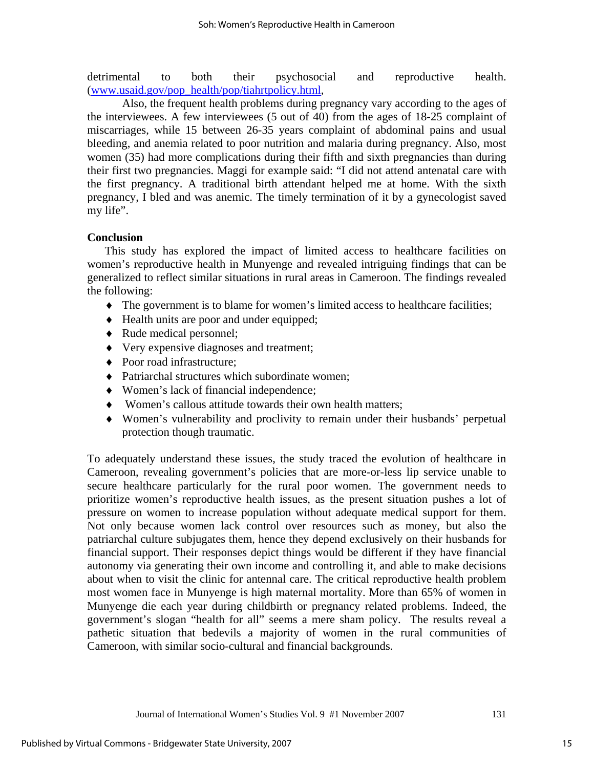detrimental to both their psychosocial and reproductive health. (www.usaid.gov/pop\_health/pop/tiahrtpolicy.html,

 Also, the frequent health problems during pregnancy vary according to the ages of the interviewees. A few interviewees (5 out of 40) from the ages of 18-25 complaint of miscarriages, while 15 between 26-35 years complaint of abdominal pains and usual bleeding, and anemia related to poor nutrition and malaria during pregnancy. Also, most women (35) had more complications during their fifth and sixth pregnancies than during their first two pregnancies. Maggi for example said: "I did not attend antenatal care with the first pregnancy. A traditional birth attendant helped me at home. With the sixth pregnancy, I bled and was anemic. The timely termination of it by a gynecologist saved my life".

#### **Conclusion**

This study has explored the impact of limited access to healthcare facilities on women's reproductive health in Munyenge and revealed intriguing findings that can be generalized to reflect similar situations in rural areas in Cameroon. The findings revealed the following:

- ♦ The government is to blame for women's limited access to healthcare facilities;
- ♦ Health units are poor and under equipped;
- ♦ Rude medical personnel;
- ♦ Very expensive diagnoses and treatment;
- ♦ Poor road infrastructure;
- ♦ Patriarchal structures which subordinate women;
- ♦ Women's lack of financial independence;
- ♦ Women's callous attitude towards their own health matters;
- ♦ Women's vulnerability and proclivity to remain under their husbands' perpetual protection though traumatic.

To adequately understand these issues, the study traced the evolution of healthcare in Cameroon, revealing government's policies that are more-or-less lip service unable to secure healthcare particularly for the rural poor women. The government needs to prioritize women's reproductive health issues, as the present situation pushes a lot of pressure on women to increase population without adequate medical support for them. Not only because women lack control over resources such as money, but also the patriarchal culture subjugates them, hence they depend exclusively on their husbands for financial support. Their responses depict things would be different if they have financial autonomy via generating their own income and controlling it, and able to make decisions about when to visit the clinic for antennal care. The critical reproductive health problem most women face in Munyenge is high maternal mortality. More than 65% of women in Munyenge die each year during childbirth or pregnancy related problems. Indeed, the government's slogan "health for all" seems a mere sham policy. The results reveal a pathetic situation that bedevils a majority of women in the rural communities of Cameroon, with similar socio-cultural and financial backgrounds.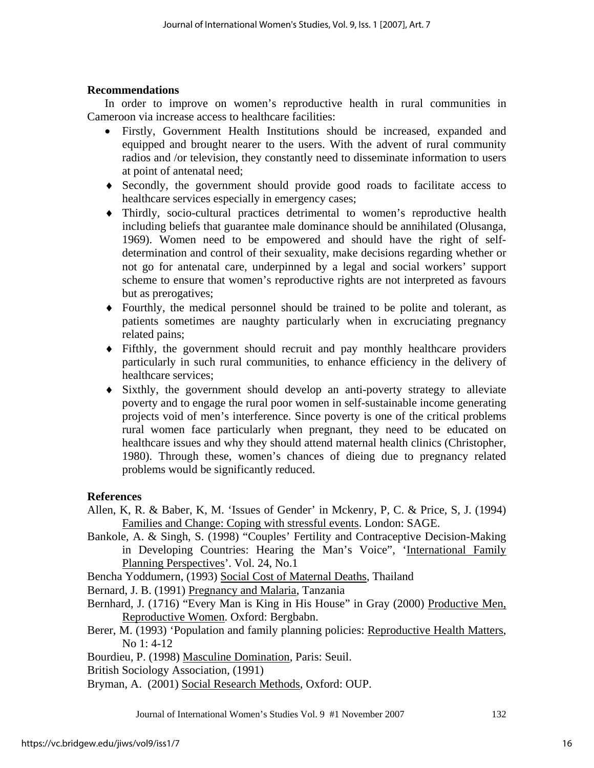#### **Recommendations**

In order to improve on women's reproductive health in rural communities in Cameroon via increase access to healthcare facilities:

- Firstly, Government Health Institutions should be increased, expanded and equipped and brought nearer to the users. With the advent of rural community radios and /or television, they constantly need to disseminate information to users at point of antenatal need;
- ♦ Secondly, the government should provide good roads to facilitate access to healthcare services especially in emergency cases;
- ♦ Thirdly, socio-cultural practices detrimental to women's reproductive health including beliefs that guarantee male dominance should be annihilated (Olusanga, 1969). Women need to be empowered and should have the right of selfdetermination and control of their sexuality, make decisions regarding whether or not go for antenatal care, underpinned by a legal and social workers' support scheme to ensure that women's reproductive rights are not interpreted as favours but as prerogatives;
- ♦ Fourthly, the medical personnel should be trained to be polite and tolerant, as patients sometimes are naughty particularly when in excruciating pregnancy related pains;
- ♦ Fifthly, the government should recruit and pay monthly healthcare providers particularly in such rural communities, to enhance efficiency in the delivery of healthcare services;
- ♦ Sixthly, the government should develop an anti-poverty strategy to alleviate poverty and to engage the rural poor women in self-sustainable income generating projects void of men's interference. Since poverty is one of the critical problems rural women face particularly when pregnant, they need to be educated on healthcare issues and why they should attend maternal health clinics (Christopher, 1980). Through these, women's chances of dieing due to pregnancy related problems would be significantly reduced.

#### **References**

- Allen, K, R. & Baber, K, M. 'Issues of Gender' in Mckenry, P, C. & Price, S, J. (1994) Families and Change: Coping with stressful events. London: SAGE.
- Bankole, A. & Singh, S. (1998) "Couples' Fertility and Contraceptive Decision-Making in Developing Countries: Hearing the Man's Voice", 'International Family Planning Perspectives'. Vol. 24, No.1

Bencha Yoddumern, (1993) Social Cost of Maternal Deaths, Thailand

Bernard, J. B. (1991) Pregnancy and Malaria, Tanzania

- Bernhard, J. (1716) "Every Man is King in His House" in Gray (2000) Productive Men, Reproductive Women. Oxford: Bergbabn.
- Berer, M. (1993) 'Population and family planning policies: Reproductive Health Matters, No 1: 4-12

Bourdieu, P. (1998) Masculine Domination, Paris: Seuil.

British Sociology Association, (1991)

Bryman, A. (2001) Social Research Methods, Oxford: OUP.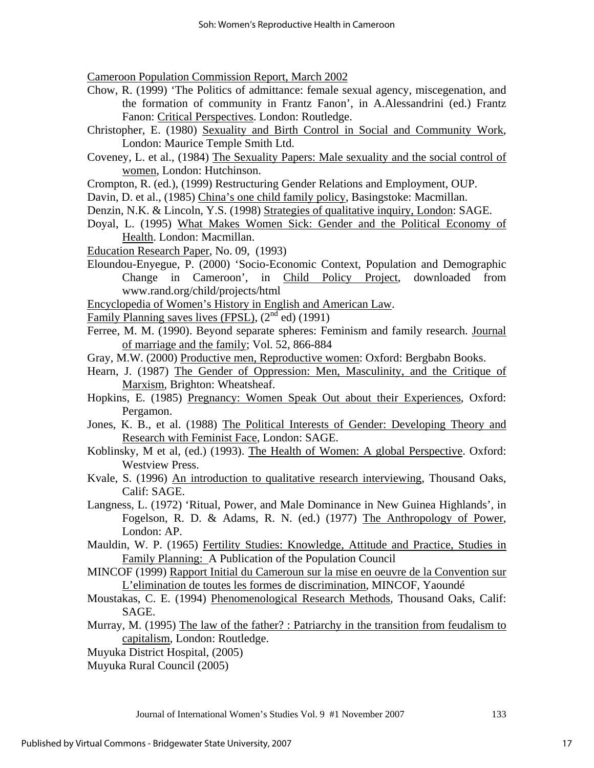Cameroon Population Commission Report, March 2002

- Chow, R. (1999) 'The Politics of admittance: female sexual agency, miscegenation, and the formation of community in Frantz Fanon', in A.Alessandrini (ed.) Frantz Fanon: Critical Perspectives. London: Routledge.
- Christopher, E. (1980) Sexuality and Birth Control in Social and Community Work, London: Maurice Temple Smith Ltd.
- Coveney, L. et al., (1984) The Sexuality Papers: Male sexuality and the social control of women, London: Hutchinson.
- Crompton, R. (ed.), (1999) Restructuring Gender Relations and Employment, OUP.
- Davin, D. et al., (1985) China's one child family policy, Basingstoke: Macmillan.
- Denzin, N.K. & Lincoln, Y.S. (1998) Strategies of qualitative inquiry, London: SAGE.
- Doyal, L. (1995) What Makes Women Sick: Gender and the Political Economy of Health. London: Macmillan.
- Education Research Paper, No. 09, (1993)
- Eloundou-Enyegue, P. (2000) 'Socio-Economic Context, Population and Demographic Change in Cameroon', in Child Policy Project, downloaded from www.rand.org/child/projects/html
- Encyclopedia of Women's History in English and American Law.
- Family Planning saves lives (FPSL),  $(2<sup>nd</sup>$  ed) (1991)
- Ferree, M. M. (1990). Beyond separate spheres: Feminism and family research. Journal of marriage and the family; Vol. 52, 866-884
- Gray, M.W. (2000) Productive men, Reproductive women: Oxford: Bergbabn Books.
- Hearn, J. (1987) The Gender of Oppression: Men, Masculinity, and the Critique of Marxism, Brighton: Wheatsheaf.
- Hopkins, E. (1985) Pregnancy: Women Speak Out about their Experiences, Oxford: Pergamon.
- Jones, K. B., et al. (1988) The Political Interests of Gender: Developing Theory and Research with Feminist Face, London: SAGE.
- Koblinsky, M et al, (ed.) (1993). The Health of Women: A global Perspective. Oxford: Westview Press.
- Kvale, S. (1996) An introduction to qualitative research interviewing, Thousand Oaks, Calif: SAGE.
- Langness, L. (1972) 'Ritual, Power, and Male Dominance in New Guinea Highlands', in Fogelson, R. D. & Adams, R. N. (ed.) (1977) The Anthropology of Power, London: AP.
- Mauldin, W. P. (1965) Fertility Studies: Knowledge, Attitude and Practice, Studies in Family Planning: A Publication of the Population Council
- MINCOF (1999) Rapport Initial du Cameroun sur la mise en oeuvre de la Convention sur L'elimination de toutes les formes de discrimination, MINCOF, Yaoundé
- Moustakas, C. E. (1994) Phenomenological Research Methods, Thousand Oaks, Calif: SAGE.
- Murray, M. (1995) The law of the father? : Patriarchy in the transition from feudalism to capitalism, London: Routledge.
- Muyuka District Hospital, (2005)
- Muyuka Rural Council (2005)